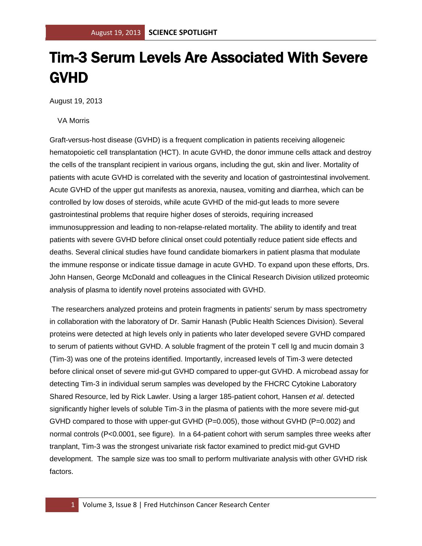## Tim-3 Serum Levels Are Associated With Severe GVHD

August 19, 2013

VA Morris

Graft-versus-host disease (GVHD) is a frequent complication in patients receiving allogeneic hematopoietic cell transplantation (HCT). In acute GVHD, the donor immune cells attack and destroy the cells of the transplant recipient in various organs, including the gut, skin and liver. Mortality of patients with acute GVHD is correlated with the severity and location of gastrointestinal involvement. Acute GVHD of the upper gut manifests as anorexia, nausea, vomiting and diarrhea, which can be controlled by low doses of steroids, while acute GVHD of the mid-gut leads to more severe gastrointestinal problems that require higher doses of steroids, requiring increased immunosuppression and leading to non-relapse-related mortality. The ability to identify and treat patients with severe GVHD before clinical onset could potentially reduce patient side effects and deaths. Several clinical studies have found candidate biomarkers in patient plasma that modulate the immune response or indicate tissue damage in acute GVHD. To expand upon these efforts, Drs. John Hansen, George McDonald and colleagues in the Clinical Research Division utilized proteomic analysis of plasma to identify novel proteins associated with GVHD.

The researchers analyzed proteins and protein fragments in patients' serum by mass spectrometry in collaboration with the laboratory of Dr. Samir Hanash (Public Health Sciences Division). Several proteins were detected at high levels only in patients who later developed severe GVHD compared to serum of patients without GVHD. A soluble fragment of the protein T cell Ig and mucin domain 3 (Tim-3) was one of the proteins identified. Importantly, increased levels of Tim-3 were detected before clinical onset of severe mid-gut GVHD compared to upper-gut GVHD. A microbead assay for detecting Tim-3 in individual serum samples was developed by the FHCRC Cytokine Laboratory Shared Resource, led by Rick Lawler. Using a larger 185-patient cohort, Hansen *et al*. detected significantly higher levels of soluble Tim-3 in the plasma of patients with the more severe mid-gut GVHD compared to those with upper-gut GVHD (P=0.005), those without GVHD (P=0.002) and normal controls (P<0.0001, see figure). In a 64-patient cohort with serum samples three weeks after tranplant, Tim-3 was the strongest univariate risk factor examined to predict mid-gut GVHD development. The sample size was too small to perform multivariate analysis with other GVHD risk factors.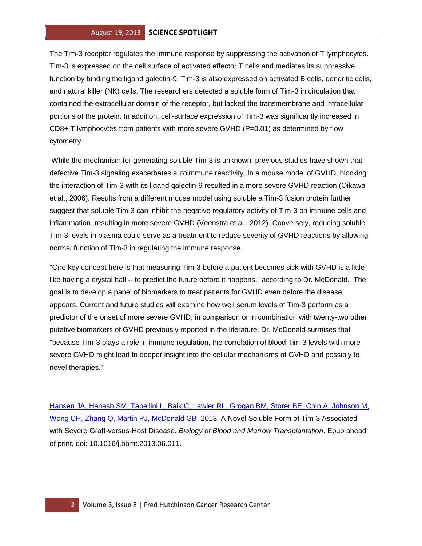The Tim-3 receptor regulates the immune response by suppressing the activation of T lymphocytes. Tim-3 is expressed on the cell surface of activated effector T cells and mediates its suppressive function by binding the ligand galectin-9. Tim-3 is also expressed on activated B cells, dendritic cells, and natural killer (NK) cells. The researchers detected a soluble form of Tim-3 in circulation that contained the extracellular domain of the receptor, but lacked the transmembrane and intracellular portions of the protein. In addition, cell-surface expression of Tim-3 was significantly increased in  $CD8+$  T lymphocytes from patients with more severe GVHD (P=0.01) as determined by flow cytometry.

While the mechanism for generating soluble Tim-3 is unknown, previous studies have shown that defective Tim-3 signaling exacerbates autoimmune reactivity. In a mouse model of GVHD, blocking the interaction of Tim-3 with its ligand galectin-9 resulted in a more severe GVHD reaction (Oikawa et al., 2006). Results from a different mouse model using soluble a Tim-3 fusion protein further suggest that soluble Tim-3 can inhibit the negative regulatory activity of Tim-3 on immune cells and inflammation, resulting in more severe GVHD (Veenstra et al., 2012). Conversely, reducing soluble Tim-3 levels in plasma could serve as a treatment to reduce severity of GVHD reactions by allowing normal function of Tim-3 in regulating the immune response.

"One key concept here is that measuring Tim-3 before a patient becomes sick with GVHD is a little like having a crystal ball -- to predict the future before it happens," according to Dr. McDonald. The goal is to develop a panel of biomarkers to treat patients for GVHD even before the disease appears. Current and future studies will examine how well serum levels of Tim-3 perform as a predictor of the onset of more severe GVHD, in comparison or in combination with twenty-two other putative biomarkers of GVHD previously reported in the literature. Dr. McDonald surmises that "because Tim-3 plays a role in immune regulation, the correlation of blood Tim-3 levels with more severe GVHD might lead to deeper insight into the cellular mechanisms of GVHD and possibly to novel therapies."

[Hansen JA, Hanash SM, Tabellini L, Baik C, Lawler RL, Grogan BM, Storer BE, Chin A, Johnson M,](http://www.ncbi.nlm.nih.gov/pubmed/23791624?otool=fhcrclib)  [Wong CH, Zhang Q, Martin PJ, McDonald GB.](http://www.ncbi.nlm.nih.gov/pubmed/23791624?otool=fhcrclib) 2013. A Novel Soluble Form of Tim-3 Associated with Severe Graft-versus-Host Disease. *Biology of Blood and Marrow Transplantation*. Epub ahead of print, doi: 10.1016/j.bbmt.2013.06.011.